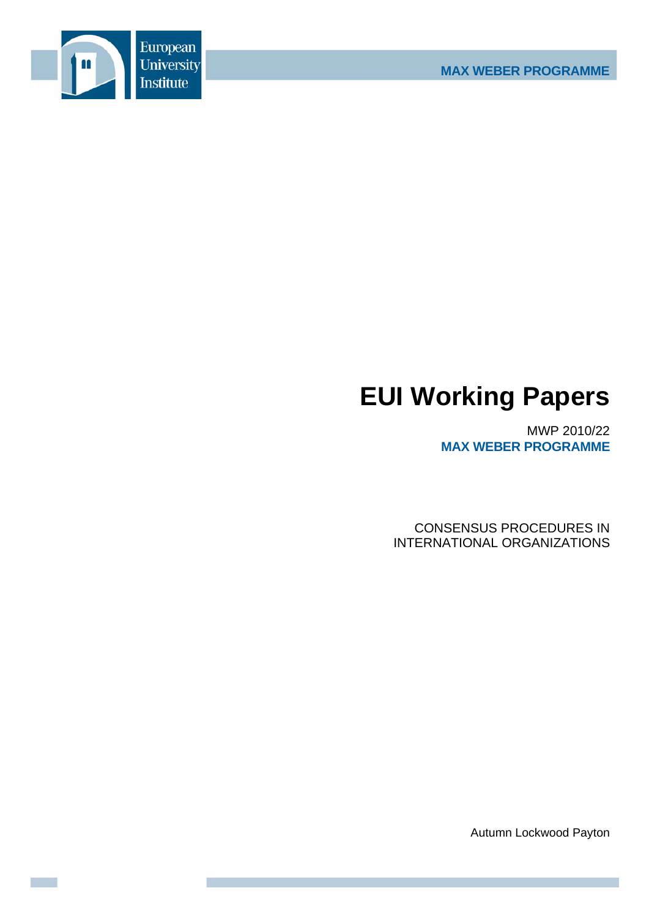

# **EUI Working Papers**

MWP 2010/22 **MAX WEBER PROGRAMME**

CONSENSUS PROCEDURES IN INTERNATIONAL ORGANIZATIONS

Autumn Lockwood Payton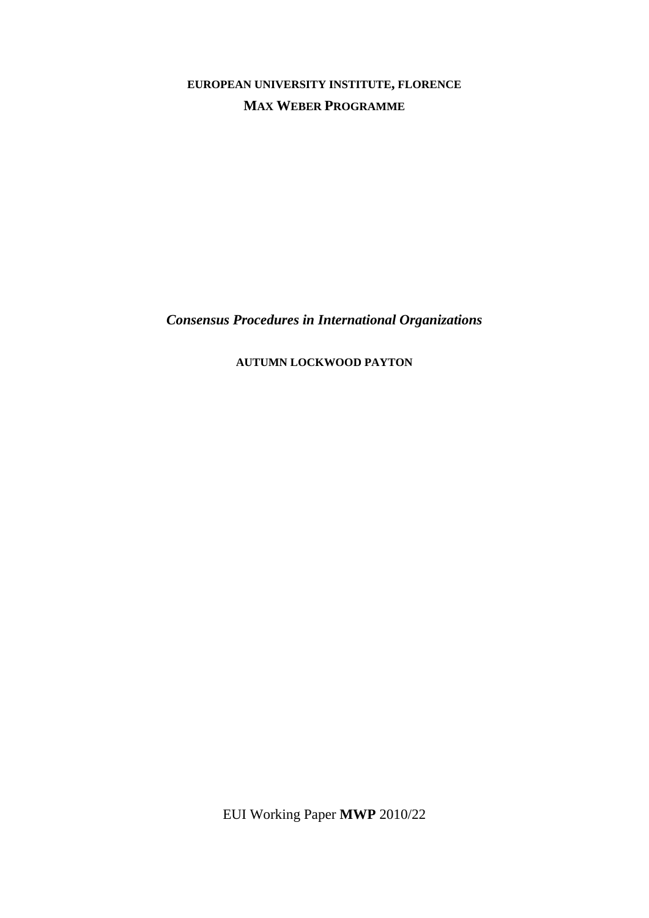**EUROPEAN UNIVERSITY INSTITUTE, FLORENCE MAX WEBER PROGRAMME**

*Consensus Procedures in International Organizations* 

**AUTUMN LOCKWOOD PAYTON**

EUI Working Paper **MWP** 2010/22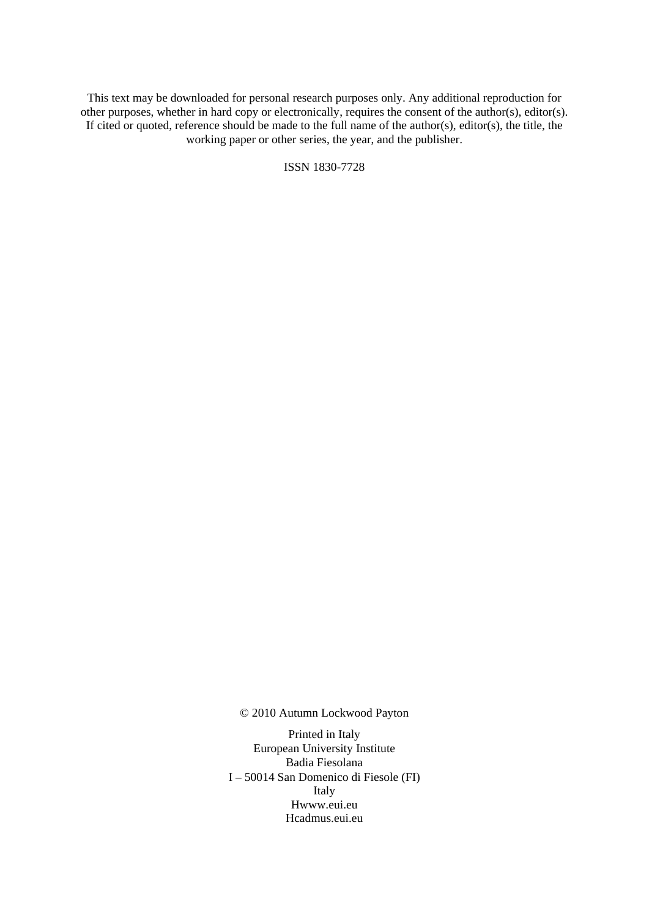This text may be downloaded for personal research purposes only. Any additional reproduction for other purposes, whether in hard copy or electronically, requires the consent of the author(s), editor(s). If cited or quoted, reference should be made to the full name of the author(s), editor(s), the title, the working paper or other series, the year, and the publisher.

ISSN 1830-7728

© 2010 Autumn Lockwood Payton

Printed in Italy European University Institute Badia Fiesolana I – 50014 San Domenico di Fiesole (FI) Italy Hwww.eui.eu H cadmus.eui.eu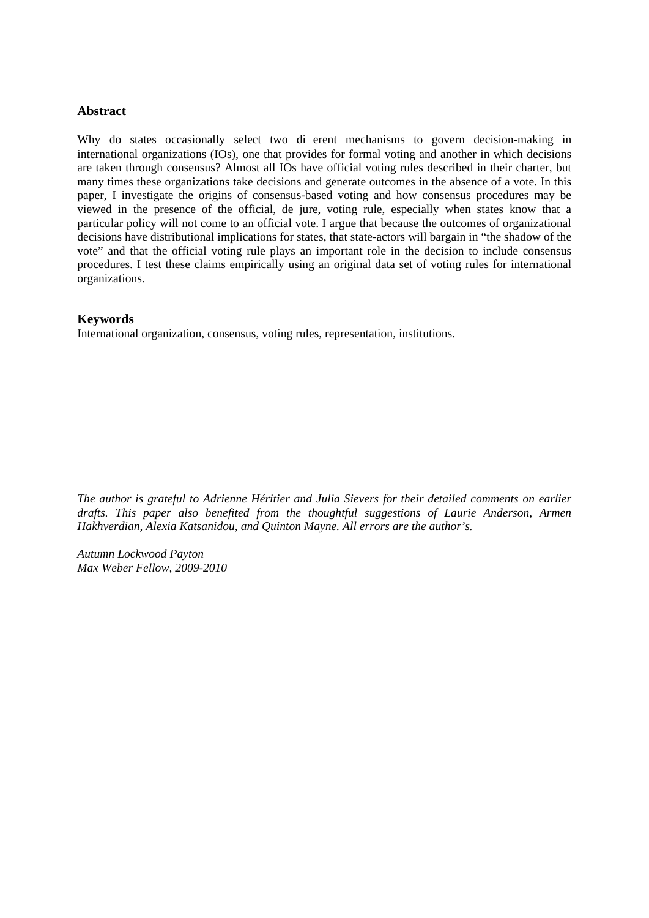# **Abstract**

Why do states occasionally select two di erent mechanisms to govern decision-making in international organizations (IOs), one that provides for formal voting and another in which decisions are taken through consensus? Almost all IOs have official voting rules described in their charter, but many times these organizations take decisions and generate outcomes in the absence of a vote. In this paper, I investigate the origins of consensus-based voting and how consensus procedures may be viewed in the presence of the official, de jure, voting rule, especially when states know that a particular policy will not come to an official vote. I argue that because the outcomes of organizational decisions have distributional implications for states, that state-actors will bargain in "the shadow of the vote" and that the official voting rule plays an important role in the decision to include consensus procedures. I test these claims empirically using an original data set of voting rules for international organizations.

# **Keywords**

International organization, consensus, voting rules, representation, institutions.

*The author is grateful to Adrienne Héritier and Julia Sievers for their detailed comments on earlier drafts. This paper also benefited from the thoughtful suggestions of Laurie Anderson, Armen Hakhverdian, Alexia Katsanidou, and Quinton Mayne. All errors are the author's.* 

*Autumn Lockwood Payton Max Weber Fellow, 2009-2010*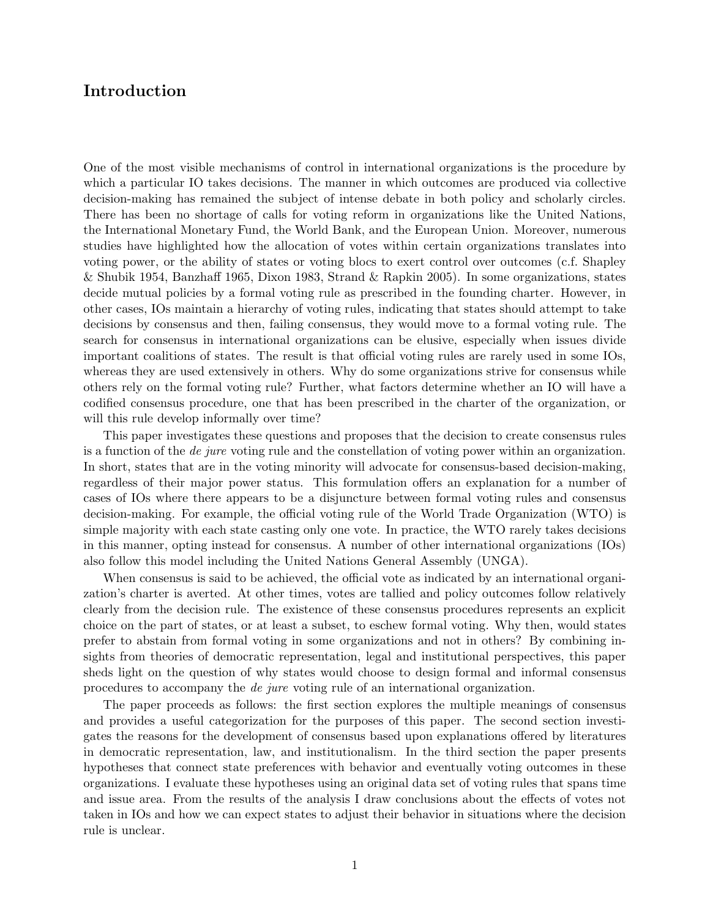# <span id="page-6-0"></span>Introduction

One of the most visible mechanisms of control in international organizations is the procedure by which a particular IO takes decisions. The manner in which outcomes are produced via collective decision-making has remained the subject of intense debate in both policy and scholarly circles. There has been no shortage of calls for voting reform in organizations like the United Nations, the International Monetary Fund, the World Bank, and the European Union. Moreover, numerous studies have highlighted how the allocation of votes within certain organizations translates into voting power, or the ability of states or voting blocs to exert control over outcomes (c.f. Shapley & Shubik 1954, Banzhaff 1965, Dixon 1983, Strand & Rapkin 2005). In some organizations, states decide mutual policies by a formal voting rule as prescribed in the founding charter. However, in other cases, IOs maintain a hierarchy of voting rules, indicating that states should attempt to take decisions by consensus and then, failing consensus, they would move to a formal voting rule. The search for consensus in international organizations can be elusive, especially when issues divide important coalitions of states. The result is that official voting rules are rarely used in some IOs, whereas they are used extensively in others. Why do some organizations strive for consensus while others rely on the formal voting rule? Further, what factors determine whether an IO will have a codified consensus procedure, one that has been prescribed in the charter of the organization, or will this rule develop informally over time?

This paper investigates these questions and proposes that the decision to create consensus rules is a function of the de jure voting rule and the constellation of voting power within an organization. In short, states that are in the voting minority will advocate for consensus-based decision-making, regardless of their major power status. This formulation offers an explanation for a number of cases of IOs where there appears to be a disjuncture between formal voting rules and consensus decision-making. For example, the official voting rule of the World Trade Organization (WTO) is simple majority with each state casting only one vote. In practice, the WTO rarely takes decisions in this manner, opting instead for consensus. A number of other international organizations (IOs) also follow this model including the United Nations General Assembly (UNGA).

When consensus is said to be achieved, the official vote as indicated by an international organization's charter is averted. At other times, votes are tallied and policy outcomes follow relatively clearly from the decision rule. The existence of these consensus procedures represents an explicit choice on the part of states, or at least a subset, to eschew formal voting. Why then, would states prefer to abstain from formal voting in some organizations and not in others? By combining insights from theories of democratic representation, legal and institutional perspectives, this paper sheds light on the question of why states would choose to design formal and informal consensus procedures to accompany the de jure voting rule of an international organization.

The paper proceeds as follows: the first section explores the multiple meanings of consensus and provides a useful categorization for the purposes of this paper. The second section investigates the reasons for the development of consensus based upon explanations offered by literatures in democratic representation, law, and institutionalism. In the third section the paper presents hypotheses that connect state preferences with behavior and eventually voting outcomes in these organizations. I evaluate these hypotheses using an original data set of voting rules that spans time and issue area. From the results of the analysis I draw conclusions about the effects of votes not taken in IOs and how we can expect states to adjust their behavior in situations where the decision rule is unclear.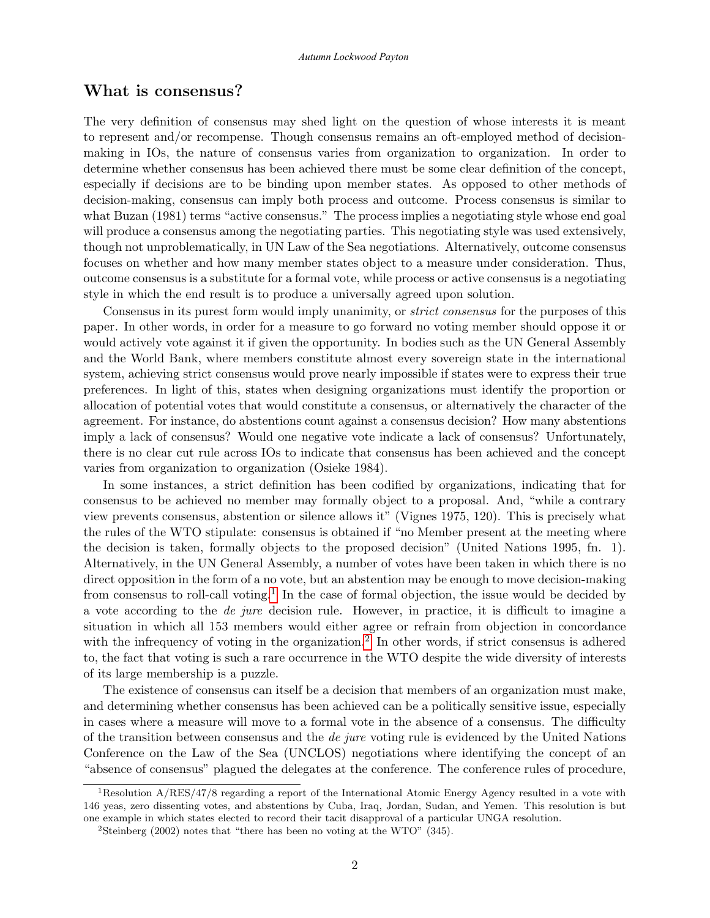# What is consensus?

The very definition of consensus may shed light on the question of whose interests it is meant to represent and/or recompense. Though consensus remains an oft-employed method of decisionmaking in IOs, the nature of consensus varies from organization to organization. In order to determine whether consensus has been achieved there must be some clear definition of the concept, especially if decisions are to be binding upon member states. As opposed to other methods of decision-making, consensus can imply both process and outcome. Process consensus is similar to what Buzan (1981) terms "active consensus." The process implies a negotiating style whose end goal will produce a consensus among the negotiating parties. This negotiating style was used extensively, though not unproblematically, in UN Law of the Sea negotiations. Alternatively, outcome consensus focuses on whether and how many member states object to a measure under consideration. Thus, outcome consensus is a substitute for a formal vote, while process or active consensus is a negotiating style in which the end result is to produce a universally agreed upon solution.

Consensus in its purest form would imply unanimity, or strict consensus for the purposes of this paper. In other words, in order for a measure to go forward no voting member should oppose it or would actively vote against it if given the opportunity. In bodies such as the UN General Assembly and the World Bank, where members constitute almost every sovereign state in the international system, achieving strict consensus would prove nearly impossible if states were to express their true preferences. In light of this, states when designing organizations must identify the proportion or allocation of potential votes that would constitute a consensus, or alternatively the character of the agreement. For instance, do abstentions count against a consensus decision? How many abstentions imply a lack of consensus? Would one negative vote indicate a lack of consensus? Unfortunately, there is no clear cut rule across IOs to indicate that consensus has been achieved and the concept varies from organization to organization (Osieke 1984).

In some instances, a strict definition has been codified by organizations, indicating that for consensus to be achieved no member may formally object to a proposal. And, "while a contrary view prevents consensus, abstention or silence allows it" (Vignes 1975, 120). This is precisely what the rules of the WTO stipulate: consensus is obtained if "no Member present at the meeting where the decision is taken, formally objects to the proposed decision" (United Nations 1995, fn. 1). Alternatively, in the UN General Assembly, a number of votes have been taken in which there is no direct opposition in the form of a no vote, but an abstention may be enough to move decision-making from consensus to roll-call voting.<sup>[1](#page-6-0)</sup> In the case of formal objection, the issue would be decided by a vote according to the de jure decision rule. However, in practice, it is difficult to imagine a situation in which all 153 members would either agree or refrain from objection in concordance with the infrequency of voting in the organization.<sup>[2](#page-6-0)</sup> In other words, if strict consensus is adhered to, the fact that voting is such a rare occurrence in the WTO despite the wide diversity of interests of its large membership is a puzzle.

The existence of consensus can itself be a decision that members of an organization must make, and determining whether consensus has been achieved can be a politically sensitive issue, especially in cases where a measure will move to a formal vote in the absence of a consensus. The difficulty of the transition between consensus and the *de jure* voting rule is evidenced by the United Nations Conference on the Law of the Sea (UNCLOS) negotiations where identifying the concept of an "absence of consensus" plagued the delegates at the conference. The conference rules of procedure,

<sup>1</sup>Resolution A/RES/47/8 regarding a report of the International Atomic Energy Agency resulted in a vote with 146 yeas, zero dissenting votes, and abstentions by Cuba, Iraq, Jordan, Sudan, and Yemen. This resolution is but one example in which states elected to record their tacit disapproval of a particular UNGA resolution.

<sup>&</sup>lt;sup>2</sup>Steinberg (2002) notes that "there has been no voting at the WTO"  $(345)$ .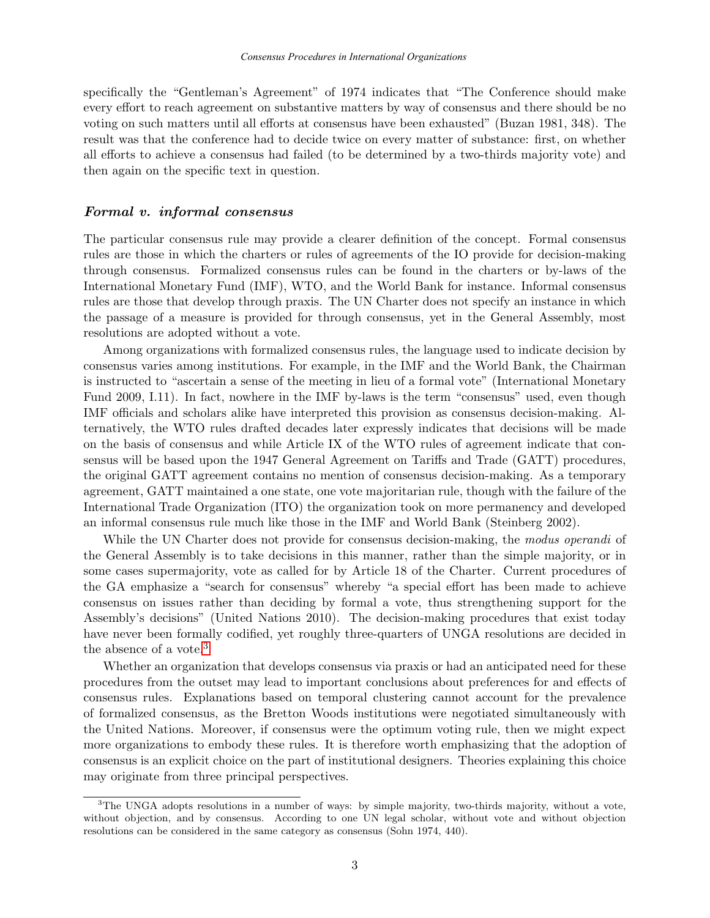specifically the "Gentleman's Agreement" of 1974 indicates that "The Conference should make every effort to reach agreement on substantive matters by way of consensus and there should be no voting on such matters until all efforts at consensus have been exhausted" (Buzan 1981, 348). The result was that the conference had to decide twice on every matter of substance: first, on whether all efforts to achieve a consensus had failed (to be determined by a two-thirds majority vote) and then again on the specific text in question.

## Formal v. informal consensus

The particular consensus rule may provide a clearer definition of the concept. Formal consensus rules are those in which the charters or rules of agreements of the IO provide for decision-making through consensus. Formalized consensus rules can be found in the charters or by-laws of the International Monetary Fund (IMF), WTO, and the World Bank for instance. Informal consensus rules are those that develop through praxis. The UN Charter does not specify an instance in which the passage of a measure is provided for through consensus, yet in the General Assembly, most resolutions are adopted without a vote.

Among organizations with formalized consensus rules, the language used to indicate decision by consensus varies among institutions. For example, in the IMF and the World Bank, the Chairman is instructed to "ascertain a sense of the meeting in lieu of a formal vote" (International Monetary Fund 2009, I.11). In fact, nowhere in the IMF by-laws is the term "consensus" used, even though IMF officials and scholars alike have interpreted this provision as consensus decision-making. Alternatively, the WTO rules drafted decades later expressly indicates that decisions will be made on the basis of consensus and while Article IX of the WTO rules of agreement indicate that consensus will be based upon the 1947 General Agreement on Tariffs and Trade (GATT) procedures, the original GATT agreement contains no mention of consensus decision-making. As a temporary agreement, GATT maintained a one state, one vote majoritarian rule, though with the failure of the International Trade Organization (ITO) the organization took on more permanency and developed an informal consensus rule much like those in the IMF and World Bank (Steinberg 2002).

While the UN Charter does not provide for consensus decision-making, the modus operandi of the General Assembly is to take decisions in this manner, rather than the simple majority, or in some cases supermajority, vote as called for by Article 18 of the Charter. Current procedures of the GA emphasize a "search for consensus" whereby "a special effort has been made to achieve consensus on issues rather than deciding by formal a vote, thus strengthening support for the Assembly's decisions" (United Nations 2010). The decision-making procedures that exist today have never been formally codified, yet roughly three-quarters of UNGA resolutions are decided in the absence of a vote.<sup>[3](#page-6-0)</sup>

Whether an organization that develops consensus via praxis or had an anticipated need for these procedures from the outset may lead to important conclusions about preferences for and effects of consensus rules. Explanations based on temporal clustering cannot account for the prevalence of formalized consensus, as the Bretton Woods institutions were negotiated simultaneously with the United Nations. Moreover, if consensus were the optimum voting rule, then we might expect more organizations to embody these rules. It is therefore worth emphasizing that the adoption of consensus is an explicit choice on the part of institutional designers. Theories explaining this choice may originate from three principal perspectives.

<sup>&</sup>lt;sup>3</sup>The UNGA adopts resolutions in a number of ways: by simple majority, two-thirds majority, without a vote, without objection, and by consensus. According to one UN legal scholar, without vote and without objection resolutions can be considered in the same category as consensus (Sohn 1974, 440).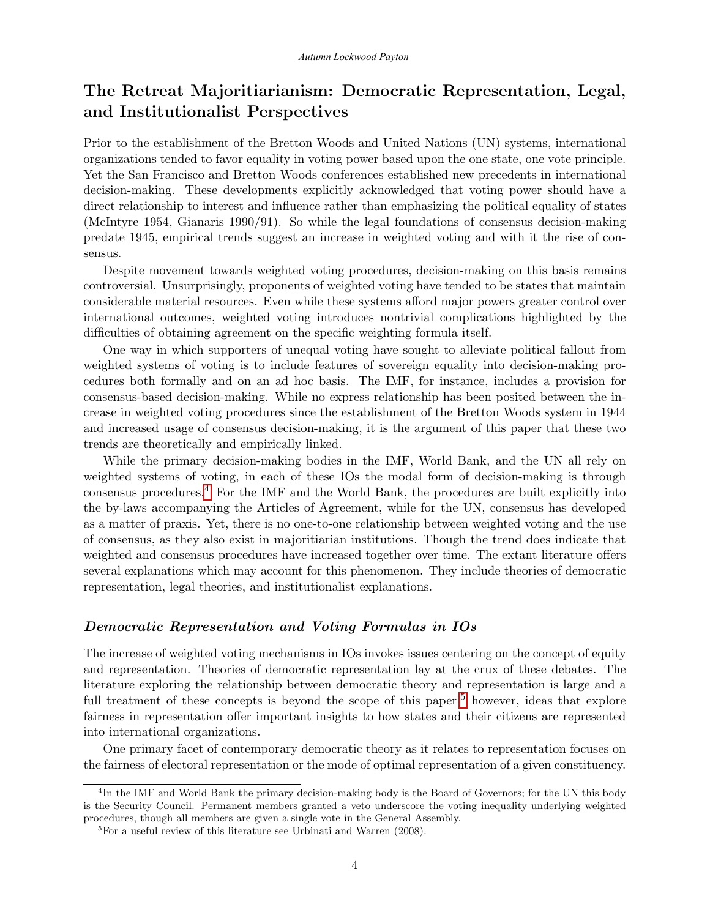# The Retreat Majoritiarianism: Democratic Representation, Legal, and Institutionalist Perspectives

Prior to the establishment of the Bretton Woods and United Nations (UN) systems, international organizations tended to favor equality in voting power based upon the one state, one vote principle. Yet the San Francisco and Bretton Woods conferences established new precedents in international decision-making. These developments explicitly acknowledged that voting power should have a direct relationship to interest and influence rather than emphasizing the political equality of states (McIntyre 1954, Gianaris 1990/91). So while the legal foundations of consensus decision-making predate 1945, empirical trends suggest an increase in weighted voting and with it the rise of consensus.

Despite movement towards weighted voting procedures, decision-making on this basis remains controversial. Unsurprisingly, proponents of weighted voting have tended to be states that maintain considerable material resources. Even while these systems afford major powers greater control over international outcomes, weighted voting introduces nontrivial complications highlighted by the difficulties of obtaining agreement on the specific weighting formula itself.

One way in which supporters of unequal voting have sought to alleviate political fallout from weighted systems of voting is to include features of sovereign equality into decision-making procedures both formally and on an ad hoc basis. The IMF, for instance, includes a provision for consensus-based decision-making. While no express relationship has been posited between the increase in weighted voting procedures since the establishment of the Bretton Woods system in 1944 and increased usage of consensus decision-making, it is the argument of this paper that these two trends are theoretically and empirically linked.

While the primary decision-making bodies in the IMF, World Bank, and the UN all rely on weighted systems of voting, in each of these IOs the modal form of decision-making is through consensus procedures.[4](#page-6-0) For the IMF and the World Bank, the procedures are built explicitly into the by-laws accompanying the Articles of Agreement, while for the UN, consensus has developed as a matter of praxis. Yet, there is no one-to-one relationship between weighted voting and the use of consensus, as they also exist in majoritiarian institutions. Though the trend does indicate that weighted and consensus procedures have increased together over time. The extant literature offers several explanations which may account for this phenomenon. They include theories of democratic representation, legal theories, and institutionalist explanations.

## Democratic Representation and Voting Formulas in IOs

The increase of weighted voting mechanisms in IOs invokes issues centering on the concept of equity and representation. Theories of democratic representation lay at the crux of these debates. The literature exploring the relationship between democratic theory and representation is large and a full treatment of these concepts is beyond the scope of this paper;<sup>[5](#page-6-0)</sup> however, ideas that explore fairness in representation offer important insights to how states and their citizens are represented into international organizations.

One primary facet of contemporary democratic theory as it relates to representation focuses on the fairness of electoral representation or the mode of optimal representation of a given constituency.

<sup>&</sup>lt;sup>4</sup>In the IMF and World Bank the primary decision-making body is the Board of Governors; for the UN this body is the Security Council. Permanent members granted a veto underscore the voting inequality underlying weighted procedures, though all members are given a single vote in the General Assembly.

<sup>5</sup>For a useful review of this literature see Urbinati and Warren (2008).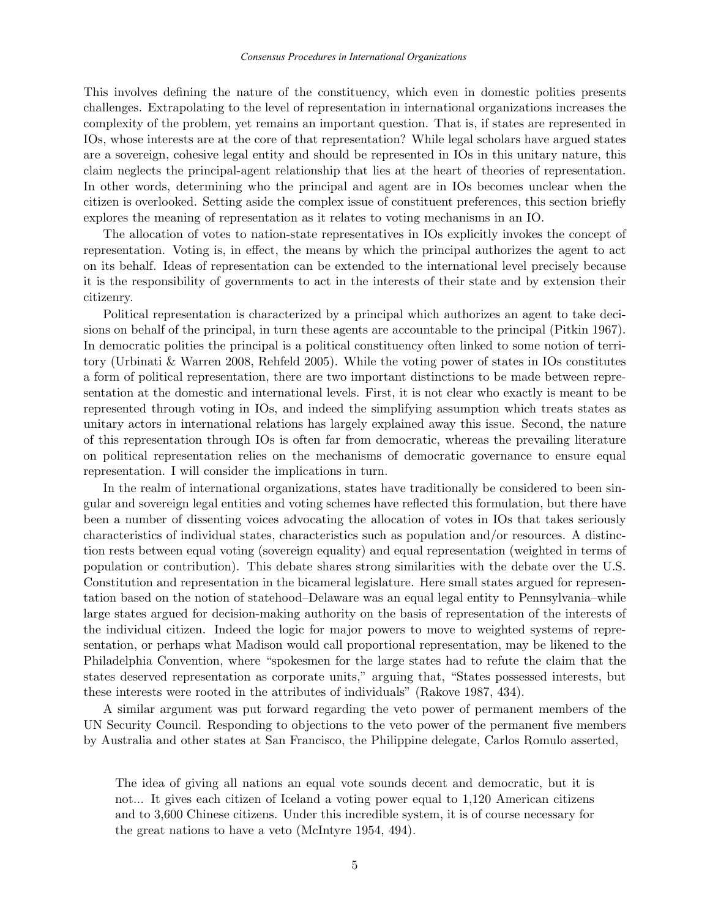This involves defining the nature of the constituency, which even in domestic polities presents challenges. Extrapolating to the level of representation in international organizations increases the complexity of the problem, yet remains an important question. That is, if states are represented in IOs, whose interests are at the core of that representation? While legal scholars have argued states are a sovereign, cohesive legal entity and should be represented in IOs in this unitary nature, this claim neglects the principal-agent relationship that lies at the heart of theories of representation. In other words, determining who the principal and agent are in IOs becomes unclear when the citizen is overlooked. Setting aside the complex issue of constituent preferences, this section briefly explores the meaning of representation as it relates to voting mechanisms in an IO.

The allocation of votes to nation-state representatives in IOs explicitly invokes the concept of representation. Voting is, in effect, the means by which the principal authorizes the agent to act on its behalf. Ideas of representation can be extended to the international level precisely because it is the responsibility of governments to act in the interests of their state and by extension their citizenry.

Political representation is characterized by a principal which authorizes an agent to take decisions on behalf of the principal, in turn these agents are accountable to the principal (Pitkin 1967). In democratic polities the principal is a political constituency often linked to some notion of territory (Urbinati & Warren 2008, Rehfeld 2005). While the voting power of states in IOs constitutes a form of political representation, there are two important distinctions to be made between representation at the domestic and international levels. First, it is not clear who exactly is meant to be represented through voting in IOs, and indeed the simplifying assumption which treats states as unitary actors in international relations has largely explained away this issue. Second, the nature of this representation through IOs is often far from democratic, whereas the prevailing literature on political representation relies on the mechanisms of democratic governance to ensure equal representation. I will consider the implications in turn.

In the realm of international organizations, states have traditionally be considered to been singular and sovereign legal entities and voting schemes have reflected this formulation, but there have been a number of dissenting voices advocating the allocation of votes in IOs that takes seriously characteristics of individual states, characteristics such as population and/or resources. A distinction rests between equal voting (sovereign equality) and equal representation (weighted in terms of population or contribution). This debate shares strong similarities with the debate over the U.S. Constitution and representation in the bicameral legislature. Here small states argued for representation based on the notion of statehood–Delaware was an equal legal entity to Pennsylvania–while large states argued for decision-making authority on the basis of representation of the interests of the individual citizen. Indeed the logic for major powers to move to weighted systems of representation, or perhaps what Madison would call proportional representation, may be likened to the Philadelphia Convention, where "spokesmen for the large states had to refute the claim that the states deserved representation as corporate units," arguing that, "States possessed interests, but these interests were rooted in the attributes of individuals" (Rakove 1987, 434).

A similar argument was put forward regarding the veto power of permanent members of the UN Security Council. Responding to objections to the veto power of the permanent five members by Australia and other states at San Francisco, the Philippine delegate, Carlos Romulo asserted,

The idea of giving all nations an equal vote sounds decent and democratic, but it is not... It gives each citizen of Iceland a voting power equal to 1,120 American citizens and to 3,600 Chinese citizens. Under this incredible system, it is of course necessary for the great nations to have a veto (McIntyre 1954, 494).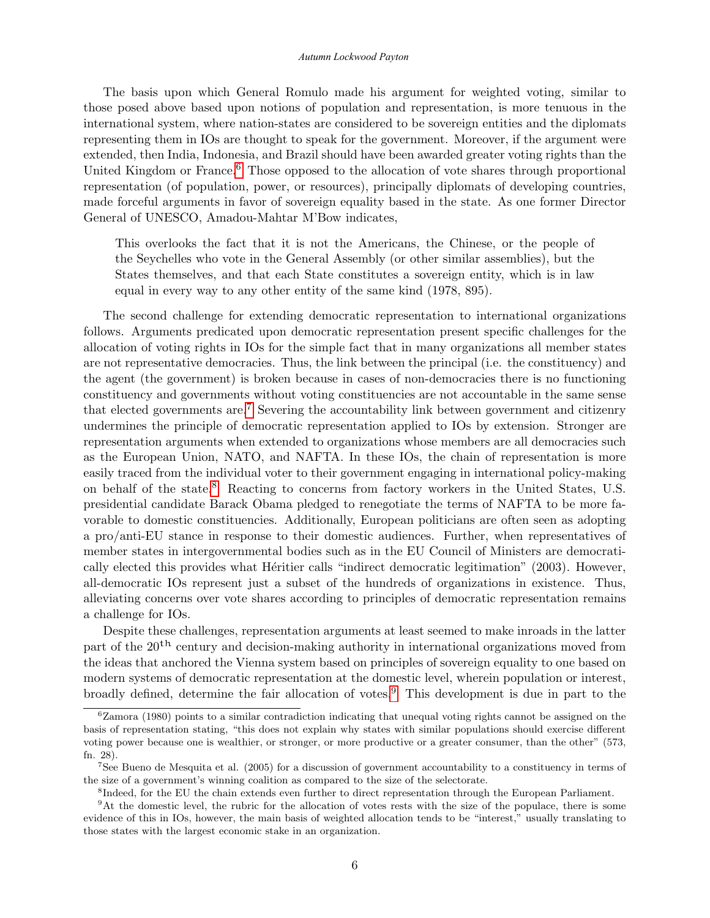#### *Autumn Lockwood Payton*

The basis upon which General Romulo made his argument for weighted voting, similar to those posed above based upon notions of population and representation, is more tenuous in the international system, where nation-states are considered to be sovereign entities and the diplomats representing them in IOs are thought to speak for the government. Moreover, if the argument were extended, then India, Indonesia, and Brazil should have been awarded greater voting rights than the United Kingdom or France.<sup>[6](#page-6-0)</sup> Those opposed to the allocation of vote shares through proportional representation (of population, power, or resources), principally diplomats of developing countries, made forceful arguments in favor of sovereign equality based in the state. As one former Director General of UNESCO, Amadou-Mahtar M'Bow indicates,

This overlooks the fact that it is not the Americans, the Chinese, or the people of the Seychelles who vote in the General Assembly (or other similar assemblies), but the States themselves, and that each State constitutes a sovereign entity, which is in law equal in every way to any other entity of the same kind (1978, 895).

The second challenge for extending democratic representation to international organizations follows. Arguments predicated upon democratic representation present specific challenges for the allocation of voting rights in IOs for the simple fact that in many organizations all member states are not representative democracies. Thus, the link between the principal (i.e. the constituency) and the agent (the government) is broken because in cases of non-democracies there is no functioning constituency and governments without voting constituencies are not accountable in the same sense that elected governments are.[7](#page-6-0) Severing the accountability link between government and citizenry undermines the principle of democratic representation applied to IOs by extension. Stronger are representation arguments when extended to organizations whose members are all democracies such as the European Union, NATO, and NAFTA. In these IOs, the chain of representation is more easily traced from the individual voter to their government engaging in international policy-making on behalf of the state.[8](#page-6-0) Reacting to concerns from factory workers in the United States, U.S. presidential candidate Barack Obama pledged to renegotiate the terms of NAFTA to be more favorable to domestic constituencies. Additionally, European politicians are often seen as adopting a pro/anti-EU stance in response to their domestic audiences. Further, when representatives of member states in intergovernmental bodies such as in the EU Council of Ministers are democratically elected this provides what Héritier calls "indirect democratic legitimation" (2003). However, all-democratic IOs represent just a subset of the hundreds of organizations in existence. Thus, alleviating concerns over vote shares according to principles of democratic representation remains a challenge for IOs.

Despite these challenges, representation arguments at least seemed to make inroads in the latter part of the  $20<sup>th</sup>$  century and decision-making authority in international organizations moved from the ideas that anchored the Vienna system based on principles of sovereign equality to one based on modern systems of democratic representation at the domestic level, wherein population or interest, broadly defined, determine the fair allocation of votes.[9](#page-6-0) This development is due in part to the

 $6Z$ amora (1980) points to a similar contradiction indicating that unequal voting rights cannot be assigned on the basis of representation stating, "this does not explain why states with similar populations should exercise different voting power because one is wealthier, or stronger, or more productive or a greater consumer, than the other" (573, fn. 28).

<sup>7</sup>See Bueno de Mesquita et al. (2005) for a discussion of government accountability to a constituency in terms of the size of a government's winning coalition as compared to the size of the selectorate.

<sup>8</sup> Indeed, for the EU the chain extends even further to direct representation through the European Parliament.

<sup>&</sup>lt;sup>9</sup>At the domestic level, the rubric for the allocation of votes rests with the size of the populace, there is some evidence of this in IOs, however, the main basis of weighted allocation tends to be "interest," usually translating to those states with the largest economic stake in an organization.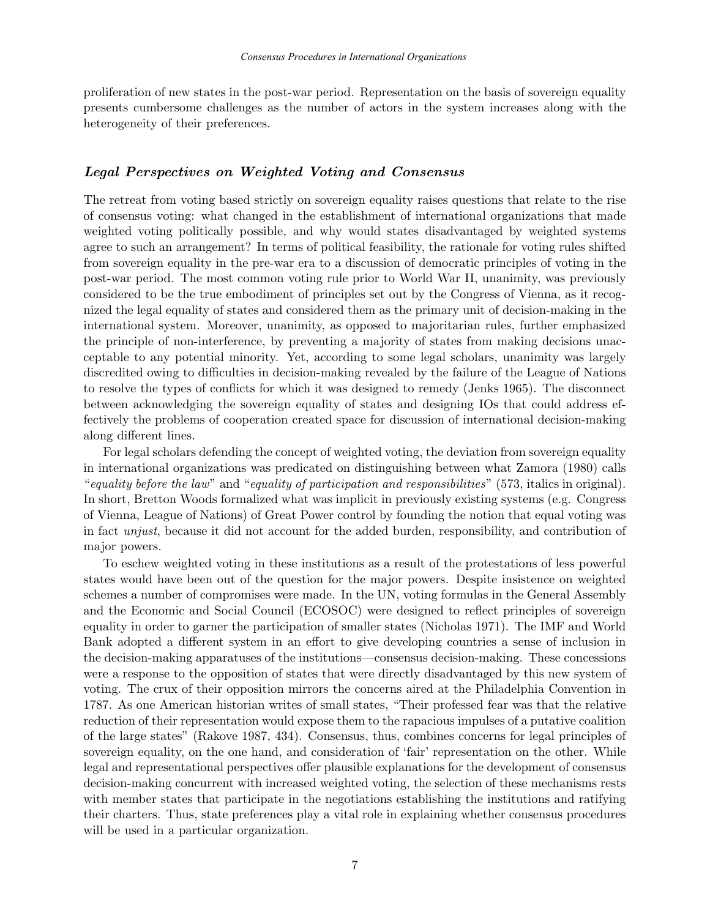proliferation of new states in the post-war period. Representation on the basis of sovereign equality presents cumbersome challenges as the number of actors in the system increases along with the heterogeneity of their preferences.

# Legal Perspectives on Weighted Voting and Consensus

The retreat from voting based strictly on sovereign equality raises questions that relate to the rise of consensus voting: what changed in the establishment of international organizations that made weighted voting politically possible, and why would states disadvantaged by weighted systems agree to such an arrangement? In terms of political feasibility, the rationale for voting rules shifted from sovereign equality in the pre-war era to a discussion of democratic principles of voting in the post-war period. The most common voting rule prior to World War II, unanimity, was previously considered to be the true embodiment of principles set out by the Congress of Vienna, as it recognized the legal equality of states and considered them as the primary unit of decision-making in the international system. Moreover, unanimity, as opposed to majoritarian rules, further emphasized the principle of non-interference, by preventing a majority of states from making decisions unacceptable to any potential minority. Yet, according to some legal scholars, unanimity was largely discredited owing to difficulties in decision-making revealed by the failure of the League of Nations to resolve the types of conflicts for which it was designed to remedy (Jenks 1965). The disconnect between acknowledging the sovereign equality of states and designing IOs that could address effectively the problems of cooperation created space for discussion of international decision-making along different lines.

For legal scholars defending the concept of weighted voting, the deviation from sovereign equality in international organizations was predicated on distinguishing between what Zamora (1980) calls "equality before the law" and "equality of participation and responsibilities" (573, italics in original). In short, Bretton Woods formalized what was implicit in previously existing systems (e.g. Congress of Vienna, League of Nations) of Great Power control by founding the notion that equal voting was in fact unjust, because it did not account for the added burden, responsibility, and contribution of major powers.

To eschew weighted voting in these institutions as a result of the protestations of less powerful states would have been out of the question for the major powers. Despite insistence on weighted schemes a number of compromises were made. In the UN, voting formulas in the General Assembly and the Economic and Social Council (ECOSOC) were designed to reflect principles of sovereign equality in order to garner the participation of smaller states (Nicholas 1971). The IMF and World Bank adopted a different system in an effort to give developing countries a sense of inclusion in the decision-making apparatuses of the institutions—consensus decision-making. These concessions were a response to the opposition of states that were directly disadvantaged by this new system of voting. The crux of their opposition mirrors the concerns aired at the Philadelphia Convention in 1787. As one American historian writes of small states, "Their professed fear was that the relative reduction of their representation would expose them to the rapacious impulses of a putative coalition of the large states" (Rakove 1987, 434). Consensus, thus, combines concerns for legal principles of sovereign equality, on the one hand, and consideration of 'fair' representation on the other. While legal and representational perspectives offer plausible explanations for the development of consensus decision-making concurrent with increased weighted voting, the selection of these mechanisms rests with member states that participate in the negotiations establishing the institutions and ratifying their charters. Thus, state preferences play a vital role in explaining whether consensus procedures will be used in a particular organization.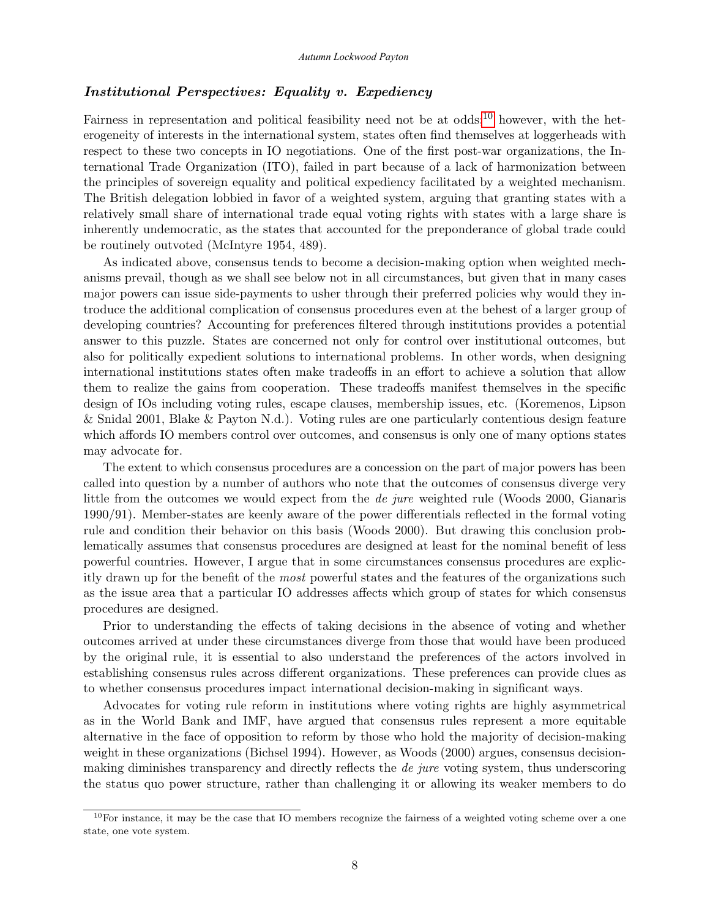## Institutional Perspectives: Equality v. Expediency

Fairness in representation and political feasibility need not be at odds;<sup>[10](#page-6-0)</sup> however, with the heterogeneity of interests in the international system, states often find themselves at loggerheads with respect to these two concepts in IO negotiations. One of the first post-war organizations, the International Trade Organization (ITO), failed in part because of a lack of harmonization between the principles of sovereign equality and political expediency facilitated by a weighted mechanism. The British delegation lobbied in favor of a weighted system, arguing that granting states with a relatively small share of international trade equal voting rights with states with a large share is inherently undemocratic, as the states that accounted for the preponderance of global trade could be routinely outvoted (McIntyre 1954, 489).

As indicated above, consensus tends to become a decision-making option when weighted mechanisms prevail, though as we shall see below not in all circumstances, but given that in many cases major powers can issue side-payments to usher through their preferred policies why would they introduce the additional complication of consensus procedures even at the behest of a larger group of developing countries? Accounting for preferences filtered through institutions provides a potential answer to this puzzle. States are concerned not only for control over institutional outcomes, but also for politically expedient solutions to international problems. In other words, when designing international institutions states often make tradeoffs in an effort to achieve a solution that allow them to realize the gains from cooperation. These tradeoffs manifest themselves in the specific design of IOs including voting rules, escape clauses, membership issues, etc. (Koremenos, Lipson & Snidal 2001, Blake & Payton N.d.). Voting rules are one particularly contentious design feature which affords IO members control over outcomes, and consensus is only one of many options states may advocate for.

The extent to which consensus procedures are a concession on the part of major powers has been called into question by a number of authors who note that the outcomes of consensus diverge very little from the outcomes we would expect from the *de jure* weighted rule (Woods 2000, Gianaris 1990/91). Member-states are keenly aware of the power differentials reflected in the formal voting rule and condition their behavior on this basis (Woods 2000). But drawing this conclusion problematically assumes that consensus procedures are designed at least for the nominal benefit of less powerful countries. However, I argue that in some circumstances consensus procedures are explicitly drawn up for the benefit of the most powerful states and the features of the organizations such as the issue area that a particular IO addresses affects which group of states for which consensus procedures are designed.

Prior to understanding the effects of taking decisions in the absence of voting and whether outcomes arrived at under these circumstances diverge from those that would have been produced by the original rule, it is essential to also understand the preferences of the actors involved in establishing consensus rules across different organizations. These preferences can provide clues as to whether consensus procedures impact international decision-making in significant ways.

Advocates for voting rule reform in institutions where voting rights are highly asymmetrical as in the World Bank and IMF, have argued that consensus rules represent a more equitable alternative in the face of opposition to reform by those who hold the majority of decision-making weight in these organizations (Bichsel 1994). However, as Woods (2000) argues, consensus decisionmaking diminishes transparency and directly reflects the de jure voting system, thus underscoring the status quo power structure, rather than challenging it or allowing its weaker members to do

 $10$ For instance, it may be the case that IO members recognize the fairness of a weighted voting scheme over a one state, one vote system.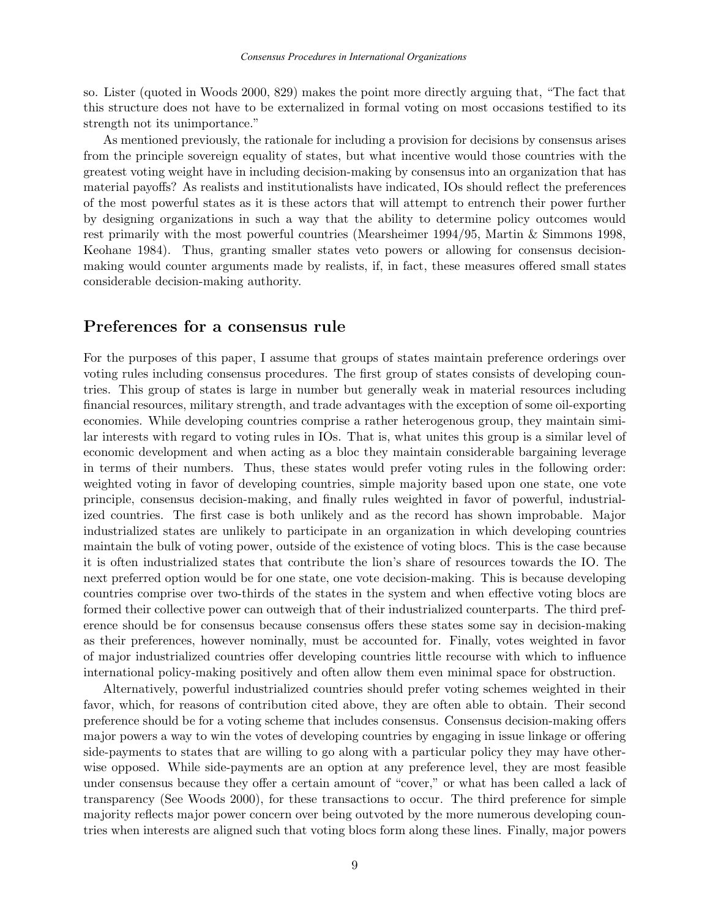so. Lister (quoted in Woods 2000, 829) makes the point more directly arguing that, "The fact that this structure does not have to be externalized in formal voting on most occasions testified to its strength not its unimportance."

As mentioned previously, the rationale for including a provision for decisions by consensus arises from the principle sovereign equality of states, but what incentive would those countries with the greatest voting weight have in including decision-making by consensus into an organization that has material payoffs? As realists and institutionalists have indicated, IOs should reflect the preferences of the most powerful states as it is these actors that will attempt to entrench their power further by designing organizations in such a way that the ability to determine policy outcomes would rest primarily with the most powerful countries (Mearsheimer 1994/95, Martin & Simmons 1998, Keohane 1984). Thus, granting smaller states veto powers or allowing for consensus decisionmaking would counter arguments made by realists, if, in fact, these measures offered small states considerable decision-making authority.

# Preferences for a consensus rule

For the purposes of this paper, I assume that groups of states maintain preference orderings over voting rules including consensus procedures. The first group of states consists of developing countries. This group of states is large in number but generally weak in material resources including financial resources, military strength, and trade advantages with the exception of some oil-exporting economies. While developing countries comprise a rather heterogenous group, they maintain similar interests with regard to voting rules in IOs. That is, what unites this group is a similar level of economic development and when acting as a bloc they maintain considerable bargaining leverage in terms of their numbers. Thus, these states would prefer voting rules in the following order: weighted voting in favor of developing countries, simple majority based upon one state, one vote principle, consensus decision-making, and finally rules weighted in favor of powerful, industrialized countries. The first case is both unlikely and as the record has shown improbable. Major industrialized states are unlikely to participate in an organization in which developing countries maintain the bulk of voting power, outside of the existence of voting blocs. This is the case because it is often industrialized states that contribute the lion's share of resources towards the IO. The next preferred option would be for one state, one vote decision-making. This is because developing countries comprise over two-thirds of the states in the system and when effective voting blocs are formed their collective power can outweigh that of their industrialized counterparts. The third preference should be for consensus because consensus offers these states some say in decision-making as their preferences, however nominally, must be accounted for. Finally, votes weighted in favor of major industrialized countries offer developing countries little recourse with which to influence international policy-making positively and often allow them even minimal space for obstruction.

Alternatively, powerful industrialized countries should prefer voting schemes weighted in their favor, which, for reasons of contribution cited above, they are often able to obtain. Their second preference should be for a voting scheme that includes consensus. Consensus decision-making offers major powers a way to win the votes of developing countries by engaging in issue linkage or offering side-payments to states that are willing to go along with a particular policy they may have otherwise opposed. While side-payments are an option at any preference level, they are most feasible under consensus because they offer a certain amount of "cover," or what has been called a lack of transparency (See Woods 2000), for these transactions to occur. The third preference for simple majority reflects major power concern over being outvoted by the more numerous developing countries when interests are aligned such that voting blocs form along these lines. Finally, major powers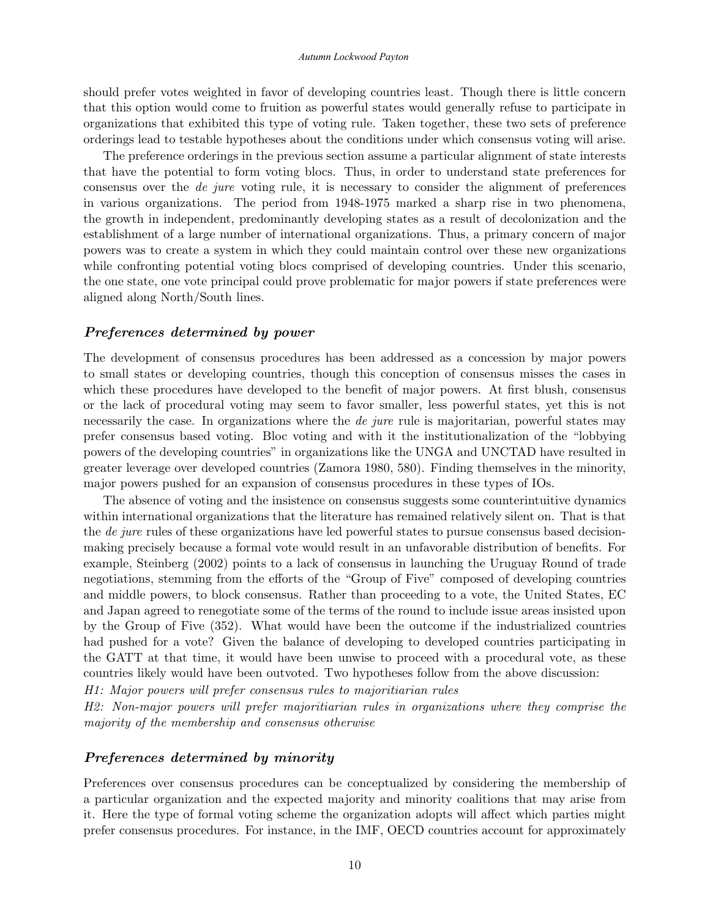#### *Autumn Lockwood Payton*

should prefer votes weighted in favor of developing countries least. Though there is little concern that this option would come to fruition as powerful states would generally refuse to participate in organizations that exhibited this type of voting rule. Taken together, these two sets of preference orderings lead to testable hypotheses about the conditions under which consensus voting will arise.

The preference orderings in the previous section assume a particular alignment of state interests that have the potential to form voting blocs. Thus, in order to understand state preferences for consensus over the de jure voting rule, it is necessary to consider the alignment of preferences in various organizations. The period from 1948-1975 marked a sharp rise in two phenomena, the growth in independent, predominantly developing states as a result of decolonization and the establishment of a large number of international organizations. Thus, a primary concern of major powers was to create a system in which they could maintain control over these new organizations while confronting potential voting blocs comprised of developing countries. Under this scenario, the one state, one vote principal could prove problematic for major powers if state preferences were aligned along North/South lines.

## Preferences determined by power

The development of consensus procedures has been addressed as a concession by major powers to small states or developing countries, though this conception of consensus misses the cases in which these procedures have developed to the benefit of major powers. At first blush, consensus or the lack of procedural voting may seem to favor smaller, less powerful states, yet this is not necessarily the case. In organizations where the *de jure* rule is majoritarian, powerful states may prefer consensus based voting. Bloc voting and with it the institutionalization of the "lobbying powers of the developing countries" in organizations like the UNGA and UNCTAD have resulted in greater leverage over developed countries (Zamora 1980, 580). Finding themselves in the minority, major powers pushed for an expansion of consensus procedures in these types of IOs.

The absence of voting and the insistence on consensus suggests some counterintuitive dynamics within international organizations that the literature has remained relatively silent on. That is that the *de jure* rules of these organizations have led powerful states to pursue consensus based decisionmaking precisely because a formal vote would result in an unfavorable distribution of benefits. For example, Steinberg (2002) points to a lack of consensus in launching the Uruguay Round of trade negotiations, stemming from the efforts of the "Group of Five" composed of developing countries and middle powers, to block consensus. Rather than proceeding to a vote, the United States, EC and Japan agreed to renegotiate some of the terms of the round to include issue areas insisted upon by the Group of Five (352). What would have been the outcome if the industrialized countries had pushed for a vote? Given the balance of developing to developed countries participating in the GATT at that time, it would have been unwise to proceed with a procedural vote, as these countries likely would have been outvoted. Two hypotheses follow from the above discussion:

H1: Major powers will prefer consensus rules to majoritiarian rules

H2: Non-major powers will prefer majoritiarian rules in organizations where they comprise the majority of the membership and consensus otherwise

## Preferences determined by minority

Preferences over consensus procedures can be conceptualized by considering the membership of a particular organization and the expected majority and minority coalitions that may arise from it. Here the type of formal voting scheme the organization adopts will affect which parties might prefer consensus procedures. For instance, in the IMF, OECD countries account for approximately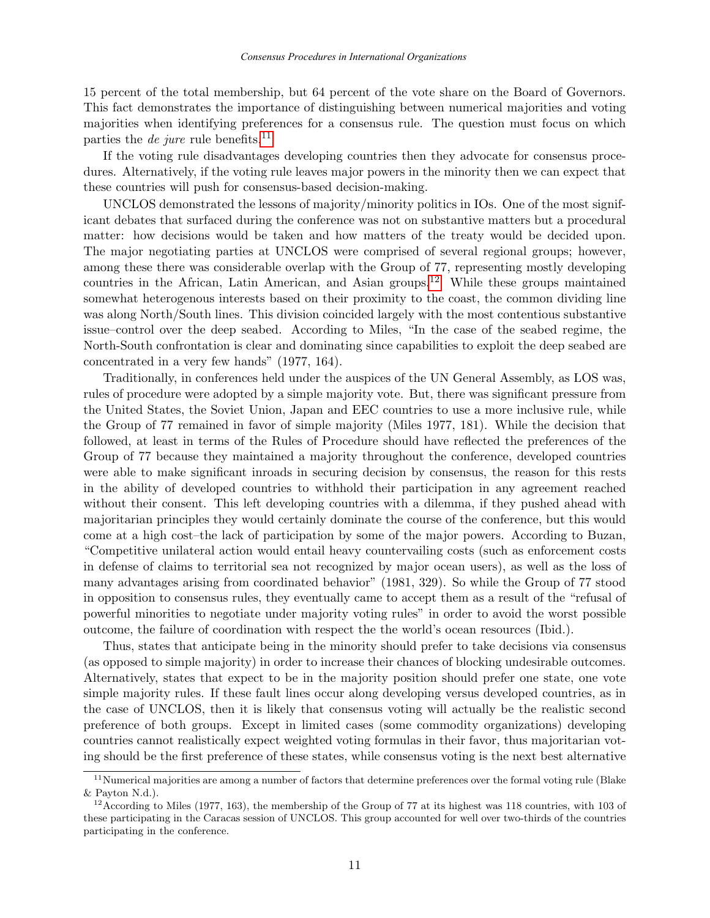15 percent of the total membership, but 64 percent of the vote share on the Board of Governors. This fact demonstrates the importance of distinguishing between numerical majorities and voting majorities when identifying preferences for a consensus rule. The question must focus on which parties the *de jure* rule benefits.<sup>[11](#page-6-0)</sup>

If the voting rule disadvantages developing countries then they advocate for consensus procedures. Alternatively, if the voting rule leaves major powers in the minority then we can expect that these countries will push for consensus-based decision-making.

UNCLOS demonstrated the lessons of majority/minority politics in IOs. One of the most significant debates that surfaced during the conference was not on substantive matters but a procedural matter: how decisions would be taken and how matters of the treaty would be decided upon. The major negotiating parties at UNCLOS were comprised of several regional groups; however, among these there was considerable overlap with the Group of 77, representing mostly developing countries in the African, Latin American, and Asian groups.[12](#page-6-0) While these groups maintained somewhat heterogenous interests based on their proximity to the coast, the common dividing line was along North/South lines. This division coincided largely with the most contentious substantive issue–control over the deep seabed. According to Miles, "In the case of the seabed regime, the North-South confrontation is clear and dominating since capabilities to exploit the deep seabed are concentrated in a very few hands" (1977, 164).

Traditionally, in conferences held under the auspices of the UN General Assembly, as LOS was, rules of procedure were adopted by a simple majority vote. But, there was significant pressure from the United States, the Soviet Union, Japan and EEC countries to use a more inclusive rule, while the Group of 77 remained in favor of simple majority (Miles 1977, 181). While the decision that followed, at least in terms of the Rules of Procedure should have reflected the preferences of the Group of 77 because they maintained a majority throughout the conference, developed countries were able to make significant inroads in securing decision by consensus, the reason for this rests in the ability of developed countries to withhold their participation in any agreement reached without their consent. This left developing countries with a dilemma, if they pushed ahead with majoritarian principles they would certainly dominate the course of the conference, but this would come at a high cost–the lack of participation by some of the major powers. According to Buzan, "Competitive unilateral action would entail heavy countervailing costs (such as enforcement costs in defense of claims to territorial sea not recognized by major ocean users), as well as the loss of many advantages arising from coordinated behavior" (1981, 329). So while the Group of 77 stood in opposition to consensus rules, they eventually came to accept them as a result of the "refusal of powerful minorities to negotiate under majority voting rules" in order to avoid the worst possible outcome, the failure of coordination with respect the the world's ocean resources (Ibid.).

Thus, states that anticipate being in the minority should prefer to take decisions via consensus (as opposed to simple majority) in order to increase their chances of blocking undesirable outcomes. Alternatively, states that expect to be in the majority position should prefer one state, one vote simple majority rules. If these fault lines occur along developing versus developed countries, as in the case of UNCLOS, then it is likely that consensus voting will actually be the realistic second preference of both groups. Except in limited cases (some commodity organizations) developing countries cannot realistically expect weighted voting formulas in their favor, thus majoritarian voting should be the first preference of these states, while consensus voting is the next best alternative

 $11$ Numerical majorities are among a number of factors that determine preferences over the formal voting rule (Blake & Payton N.d.).

<sup>&</sup>lt;sup>12</sup> According to Miles (1977, 163), the membership of the Group of 77 at its highest was 118 countries, with 103 of these participating in the Caracas session of UNCLOS. This group accounted for well over two-thirds of the countries participating in the conference.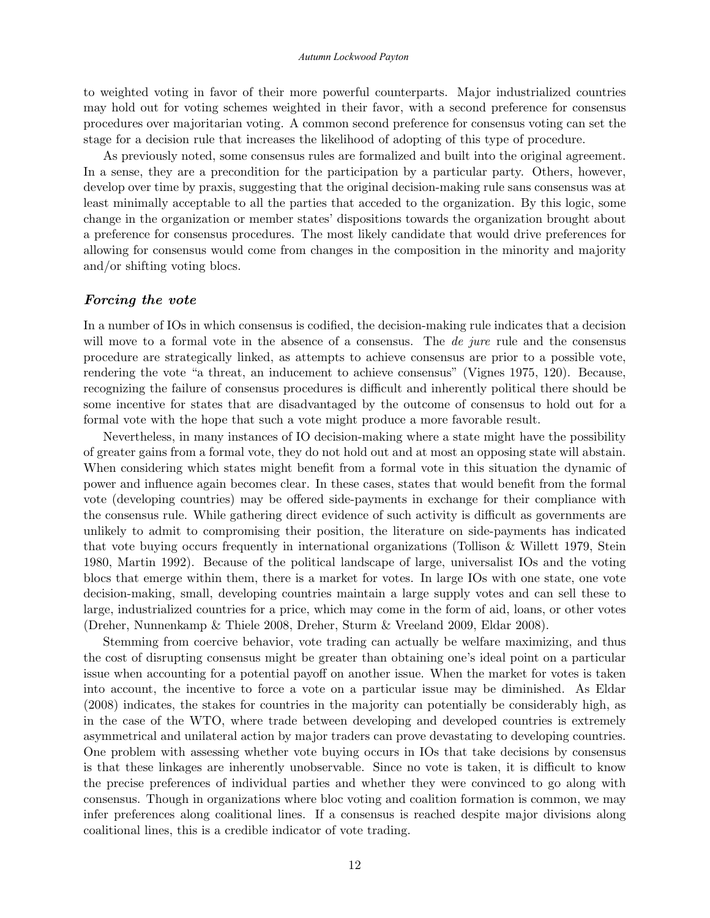to weighted voting in favor of their more powerful counterparts. Major industrialized countries may hold out for voting schemes weighted in their favor, with a second preference for consensus procedures over majoritarian voting. A common second preference for consensus voting can set the stage for a decision rule that increases the likelihood of adopting of this type of procedure.

As previously noted, some consensus rules are formalized and built into the original agreement. In a sense, they are a precondition for the participation by a particular party. Others, however, develop over time by praxis, suggesting that the original decision-making rule sans consensus was at least minimally acceptable to all the parties that acceded to the organization. By this logic, some change in the organization or member states' dispositions towards the organization brought about a preference for consensus procedures. The most likely candidate that would drive preferences for allowing for consensus would come from changes in the composition in the minority and majority and/or shifting voting blocs.

## Forcing the vote

In a number of IOs in which consensus is codified, the decision-making rule indicates that a decision will move to a formal vote in the absence of a consensus. The *de jure* rule and the consensus procedure are strategically linked, as attempts to achieve consensus are prior to a possible vote, rendering the vote "a threat, an inducement to achieve consensus" (Vignes 1975, 120). Because, recognizing the failure of consensus procedures is difficult and inherently political there should be some incentive for states that are disadvantaged by the outcome of consensus to hold out for a formal vote with the hope that such a vote might produce a more favorable result.

Nevertheless, in many instances of IO decision-making where a state might have the possibility of greater gains from a formal vote, they do not hold out and at most an opposing state will abstain. When considering which states might benefit from a formal vote in this situation the dynamic of power and influence again becomes clear. In these cases, states that would benefit from the formal vote (developing countries) may be offered side-payments in exchange for their compliance with the consensus rule. While gathering direct evidence of such activity is difficult as governments are unlikely to admit to compromising their position, the literature on side-payments has indicated that vote buying occurs frequently in international organizations (Tollison & Willett 1979, Stein 1980, Martin 1992). Because of the political landscape of large, universalist IOs and the voting blocs that emerge within them, there is a market for votes. In large IOs with one state, one vote decision-making, small, developing countries maintain a large supply votes and can sell these to large, industrialized countries for a price, which may come in the form of aid, loans, or other votes (Dreher, Nunnenkamp & Thiele 2008, Dreher, Sturm & Vreeland 2009, Eldar 2008).

Stemming from coercive behavior, vote trading can actually be welfare maximizing, and thus the cost of disrupting consensus might be greater than obtaining one's ideal point on a particular issue when accounting for a potential payoff on another issue. When the market for votes is taken into account, the incentive to force a vote on a particular issue may be diminished. As Eldar (2008) indicates, the stakes for countries in the majority can potentially be considerably high, as in the case of the WTO, where trade between developing and developed countries is extremely asymmetrical and unilateral action by major traders can prove devastating to developing countries. One problem with assessing whether vote buying occurs in IOs that take decisions by consensus is that these linkages are inherently unobservable. Since no vote is taken, it is difficult to know the precise preferences of individual parties and whether they were convinced to go along with consensus. Though in organizations where bloc voting and coalition formation is common, we may infer preferences along coalitional lines. If a consensus is reached despite major divisions along coalitional lines, this is a credible indicator of vote trading.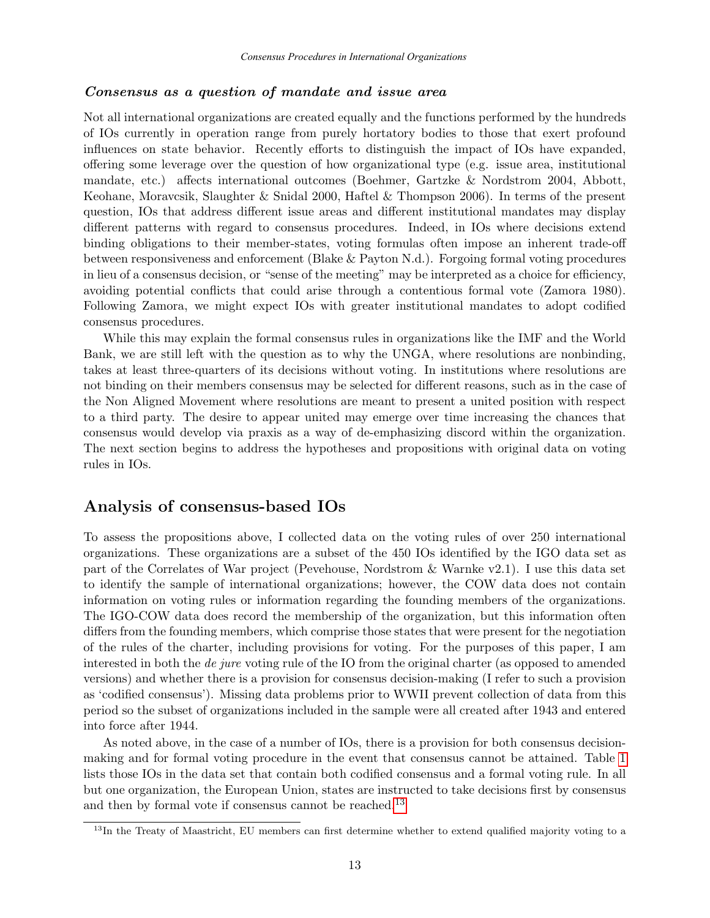## Consensus as a question of mandate and issue area

Not all international organizations are created equally and the functions performed by the hundreds of IOs currently in operation range from purely hortatory bodies to those that exert profound influences on state behavior. Recently efforts to distinguish the impact of IOs have expanded, offering some leverage over the question of how organizational type (e.g. issue area, institutional mandate, etc.) affects international outcomes (Boehmer, Gartzke & Nordstrom 2004, Abbott, Keohane, Moravcsik, Slaughter & Snidal 2000, Haftel & Thompson 2006). In terms of the present question, IOs that address different issue areas and different institutional mandates may display different patterns with regard to consensus procedures. Indeed, in IOs where decisions extend binding obligations to their member-states, voting formulas often impose an inherent trade-off between responsiveness and enforcement (Blake & Payton N.d.). Forgoing formal voting procedures in lieu of a consensus decision, or "sense of the meeting" may be interpreted as a choice for efficiency, avoiding potential conflicts that could arise through a contentious formal vote (Zamora 1980). Following Zamora, we might expect IOs with greater institutional mandates to adopt codified consensus procedures.

While this may explain the formal consensus rules in organizations like the IMF and the World Bank, we are still left with the question as to why the UNGA, where resolutions are nonbinding, takes at least three-quarters of its decisions without voting. In institutions where resolutions are not binding on their members consensus may be selected for different reasons, such as in the case of the Non Aligned Movement where resolutions are meant to present a united position with respect to a third party. The desire to appear united may emerge over time increasing the chances that consensus would develop via praxis as a way of de-emphasizing discord within the organization. The next section begins to address the hypotheses and propositions with original data on voting rules in IOs.

# Analysis of consensus-based IOs

To assess the propositions above, I collected data on the voting rules of over 250 international organizations. These organizations are a subset of the 450 IOs identified by the IGO data set as part of the Correlates of War project (Pevehouse, Nordstrom & Warnke v2.1). I use this data set to identify the sample of international organizations; however, the COW data does not contain information on voting rules or information regarding the founding members of the organizations. The IGO-COW data does record the membership of the organization, but this information often differs from the founding members, which comprise those states that were present for the negotiation of the rules of the charter, including provisions for voting. For the purposes of this paper, I am interested in both the de jure voting rule of the IO from the original charter (as opposed to amended versions) and whether there is a provision for consensus decision-making (I refer to such a provision as 'codified consensus'). Missing data problems prior to WWII prevent collection of data from this period so the subset of organizations included in the sample were all created after 1943 and entered into force after 1944.

As noted above, in the case of a number of IOs, there is a provision for both consensus decisionmaking and for formal voting procedure in the event that consensus cannot be attained. Table [1](#page-19-0) lists those IOs in the data set that contain both codified consensus and a formal voting rule. In all but one organization, the European Union, states are instructed to take decisions first by consensus and then by formal vote if consensus cannot be reached.<sup>[13](#page-6-0)</sup>

<sup>&</sup>lt;sup>13</sup>In the Treaty of Maastricht, EU members can first determine whether to extend qualified majority voting to a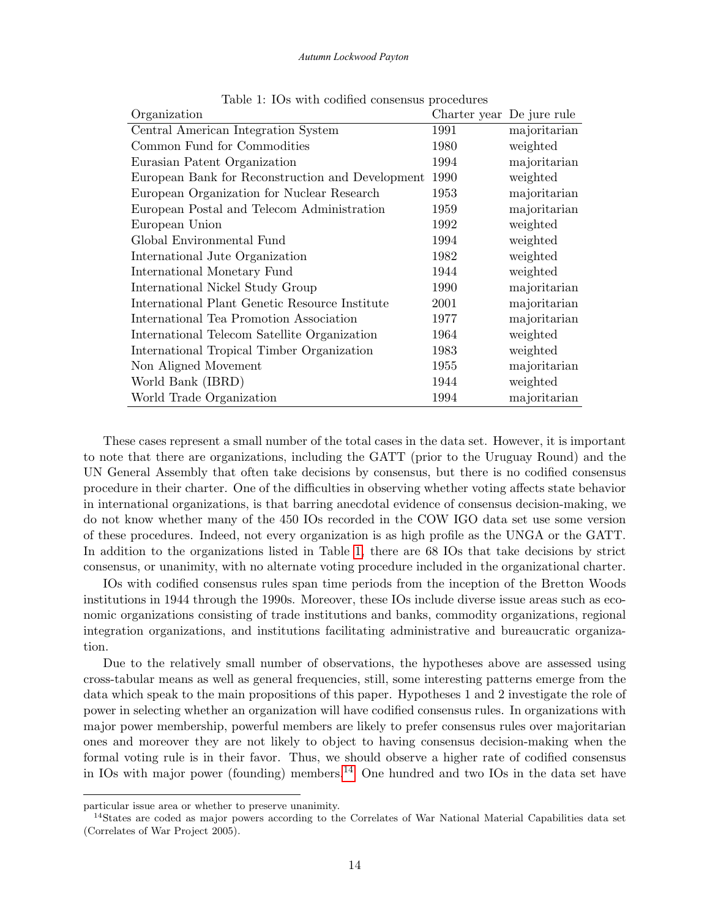#### <span id="page-19-0"></span>*Autumn Lockwood Payton*

| Organization                                     | Charter year De jure rule |              |
|--------------------------------------------------|---------------------------|--------------|
| Central American Integration System              | 1991                      | majoritarian |
| Common Fund for Commodities                      | 1980                      | weighted     |
| Eurasian Patent Organization                     | 1994                      | majoritarian |
| European Bank for Reconstruction and Development | 1990                      | weighted     |
| European Organization for Nuclear Research       | 1953                      | majoritarian |
| European Postal and Telecom Administration       | 1959                      | majoritarian |
| European Union                                   | 1992                      | weighted     |
| Global Environmental Fund                        | 1994                      | weighted     |
| International Jute Organization                  | 1982                      | weighted     |
| International Monetary Fund                      | 1944                      | weighted     |
| International Nickel Study Group                 | 1990                      | majoritarian |
| International Plant Genetic Resource Institute   | 2001                      | majoritarian |
| International Tea Promotion Association          | 1977                      | majoritarian |
| International Telecom Satellite Organization     | 1964                      | weighted     |
| International Tropical Timber Organization       | 1983                      | weighted     |
| Non Aligned Movement                             | 1955                      | majoritarian |
| World Bank (IBRD)                                | 1944                      | weighted     |
| World Trade Organization                         | 1994                      | majoritarian |

Table 1: IOs with codified consensus procedures

These cases represent a small number of the total cases in the data set. However, it is important to note that there are organizations, including the GATT (prior to the Uruguay Round) and the UN General Assembly that often take decisions by consensus, but there is no codified consensus procedure in their charter. One of the difficulties in observing whether voting affects state behavior in international organizations, is that barring anecdotal evidence of consensus decision-making, we do not know whether many of the 450 IOs recorded in the COW IGO data set use some version of these procedures. Indeed, not every organization is as high profile as the UNGA or the GATT. In addition to the organizations listed in Table [1,](#page-19-0) there are 68 IOs that take decisions by strict consensus, or unanimity, with no alternate voting procedure included in the organizational charter.

IOs with codified consensus rules span time periods from the inception of the Bretton Woods institutions in 1944 through the 1990s. Moreover, these IOs include diverse issue areas such as economic organizations consisting of trade institutions and banks, commodity organizations, regional integration organizations, and institutions facilitating administrative and bureaucratic organization.

Due to the relatively small number of observations, the hypotheses above are assessed using cross-tabular means as well as general frequencies, still, some interesting patterns emerge from the data which speak to the main propositions of this paper. Hypotheses 1 and 2 investigate the role of power in selecting whether an organization will have codified consensus rules. In organizations with major power membership, powerful members are likely to prefer consensus rules over majoritarian ones and moreover they are not likely to object to having consensus decision-making when the formal voting rule is in their favor. Thus, we should observe a higher rate of codified consensus in IOs with major power (founding) members.<sup>[14](#page-6-0)</sup> One hundred and two IOs in the data set have

particular issue area or whether to preserve unanimity.

<sup>&</sup>lt;sup>14</sup>States are coded as major powers according to the Correlates of War National Material Capabilities data set (Correlates of War Project 2005).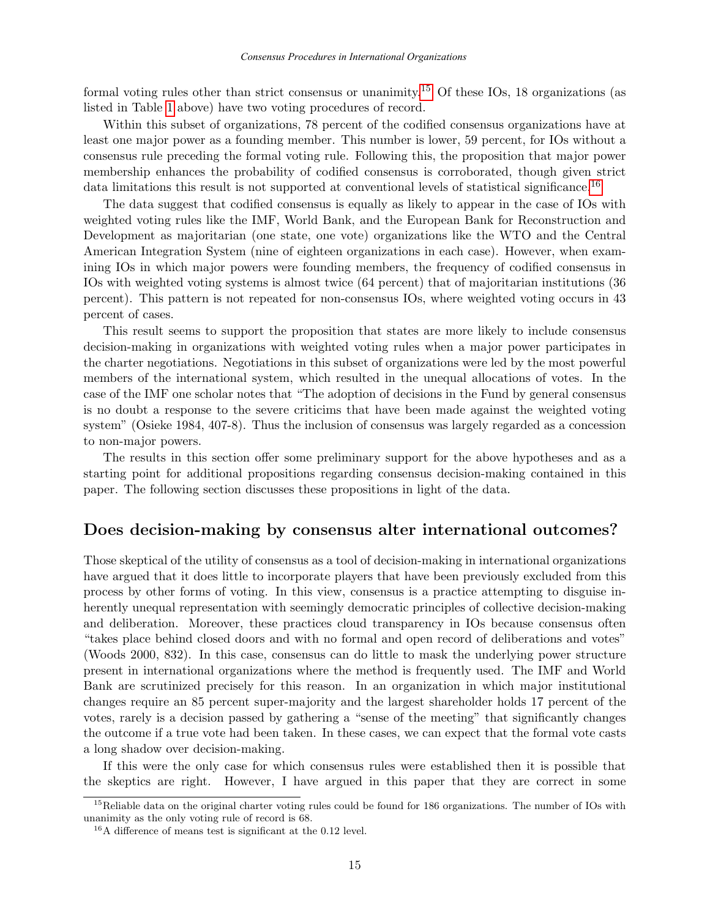formal voting rules other than strict consensus or unanimity.<sup>[15](#page-6-0)</sup> Of these IOs, 18 organizations (as listed in Table [1](#page-19-0) above) have two voting procedures of record.

Within this subset of organizations, 78 percent of the codified consensus organizations have at least one major power as a founding member. This number is lower, 59 percent, for IOs without a consensus rule preceding the formal voting rule. Following this, the proposition that major power membership enhances the probability of codified consensus is corroborated, though given strict data limitations this result is not supported at conventional levels of statistical significance.<sup>[16](#page-6-0)</sup>

The data suggest that codified consensus is equally as likely to appear in the case of IOs with weighted voting rules like the IMF, World Bank, and the European Bank for Reconstruction and Development as majoritarian (one state, one vote) organizations like the WTO and the Central American Integration System (nine of eighteen organizations in each case). However, when examining IOs in which major powers were founding members, the frequency of codified consensus in IOs with weighted voting systems is almost twice (64 percent) that of majoritarian institutions (36 percent). This pattern is not repeated for non-consensus IOs, where weighted voting occurs in 43 percent of cases.

This result seems to support the proposition that states are more likely to include consensus decision-making in organizations with weighted voting rules when a major power participates in the charter negotiations. Negotiations in this subset of organizations were led by the most powerful members of the international system, which resulted in the unequal allocations of votes. In the case of the IMF one scholar notes that "The adoption of decisions in the Fund by general consensus is no doubt a response to the severe criticims that have been made against the weighted voting system" (Osieke 1984, 407-8). Thus the inclusion of consensus was largely regarded as a concession to non-major powers.

The results in this section offer some preliminary support for the above hypotheses and as a starting point for additional propositions regarding consensus decision-making contained in this paper. The following section discusses these propositions in light of the data.

# Does decision-making by consensus alter international outcomes?

Those skeptical of the utility of consensus as a tool of decision-making in international organizations have argued that it does little to incorporate players that have been previously excluded from this process by other forms of voting. In this view, consensus is a practice attempting to disguise inherently unequal representation with seemingly democratic principles of collective decision-making and deliberation. Moreover, these practices cloud transparency in IOs because consensus often "takes place behind closed doors and with no formal and open record of deliberations and votes" (Woods 2000, 832). In this case, consensus can do little to mask the underlying power structure present in international organizations where the method is frequently used. The IMF and World Bank are scrutinized precisely for this reason. In an organization in which major institutional changes require an 85 percent super-majority and the largest shareholder holds 17 percent of the votes, rarely is a decision passed by gathering a "sense of the meeting" that significantly changes the outcome if a true vote had been taken. In these cases, we can expect that the formal vote casts a long shadow over decision-making.

If this were the only case for which consensus rules were established then it is possible that the skeptics are right. However, I have argued in this paper that they are correct in some

<sup>&</sup>lt;sup>15</sup>Reliable data on the original charter voting rules could be found for 186 organizations. The number of IOs with unanimity as the only voting rule of record is 68.

<sup>16</sup>A difference of means test is significant at the 0.12 level.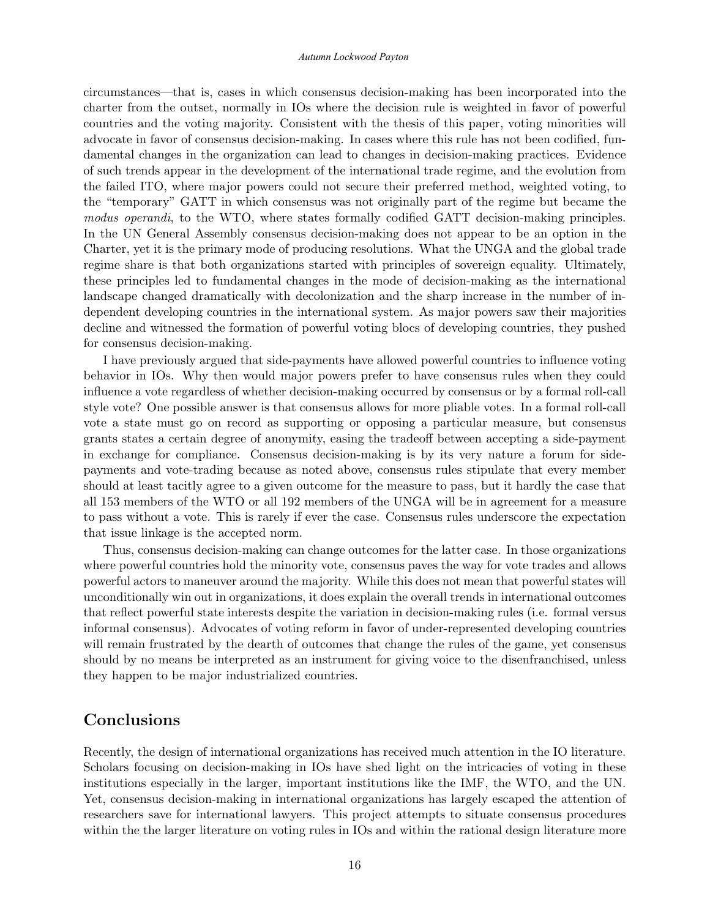circumstances—that is, cases in which consensus decision-making has been incorporated into the charter from the outset, normally in IOs where the decision rule is weighted in favor of powerful countries and the voting majority. Consistent with the thesis of this paper, voting minorities will advocate in favor of consensus decision-making. In cases where this rule has not been codified, fundamental changes in the organization can lead to changes in decision-making practices. Evidence of such trends appear in the development of the international trade regime, and the evolution from the failed ITO, where major powers could not secure their preferred method, weighted voting, to the "temporary" GATT in which consensus was not originally part of the regime but became the modus operandi, to the WTO, where states formally codified GATT decision-making principles. In the UN General Assembly consensus decision-making does not appear to be an option in the Charter, yet it is the primary mode of producing resolutions. What the UNGA and the global trade regime share is that both organizations started with principles of sovereign equality. Ultimately, these principles led to fundamental changes in the mode of decision-making as the international landscape changed dramatically with decolonization and the sharp increase in the number of independent developing countries in the international system. As major powers saw their majorities decline and witnessed the formation of powerful voting blocs of developing countries, they pushed for consensus decision-making.

I have previously argued that side-payments have allowed powerful countries to influence voting behavior in IOs. Why then would major powers prefer to have consensus rules when they could influence a vote regardless of whether decision-making occurred by consensus or by a formal roll-call style vote? One possible answer is that consensus allows for more pliable votes. In a formal roll-call vote a state must go on record as supporting or opposing a particular measure, but consensus grants states a certain degree of anonymity, easing the tradeoff between accepting a side-payment in exchange for compliance. Consensus decision-making is by its very nature a forum for sidepayments and vote-trading because as noted above, consensus rules stipulate that every member should at least tacitly agree to a given outcome for the measure to pass, but it hardly the case that all 153 members of the WTO or all 192 members of the UNGA will be in agreement for a measure to pass without a vote. This is rarely if ever the case. Consensus rules underscore the expectation that issue linkage is the accepted norm.

Thus, consensus decision-making can change outcomes for the latter case. In those organizations where powerful countries hold the minority vote, consensus paves the way for vote trades and allows powerful actors to maneuver around the majority. While this does not mean that powerful states will unconditionally win out in organizations, it does explain the overall trends in international outcomes that reflect powerful state interests despite the variation in decision-making rules (i.e. formal versus informal consensus). Advocates of voting reform in favor of under-represented developing countries will remain frustrated by the dearth of outcomes that change the rules of the game, yet consensus should by no means be interpreted as an instrument for giving voice to the disenfranchised, unless they happen to be major industrialized countries.

# Conclusions

Recently, the design of international organizations has received much attention in the IO literature. Scholars focusing on decision-making in IOs have shed light on the intricacies of voting in these institutions especially in the larger, important institutions like the IMF, the WTO, and the UN. Yet, consensus decision-making in international organizations has largely escaped the attention of researchers save for international lawyers. This project attempts to situate consensus procedures within the the larger literature on voting rules in IOs and within the rational design literature more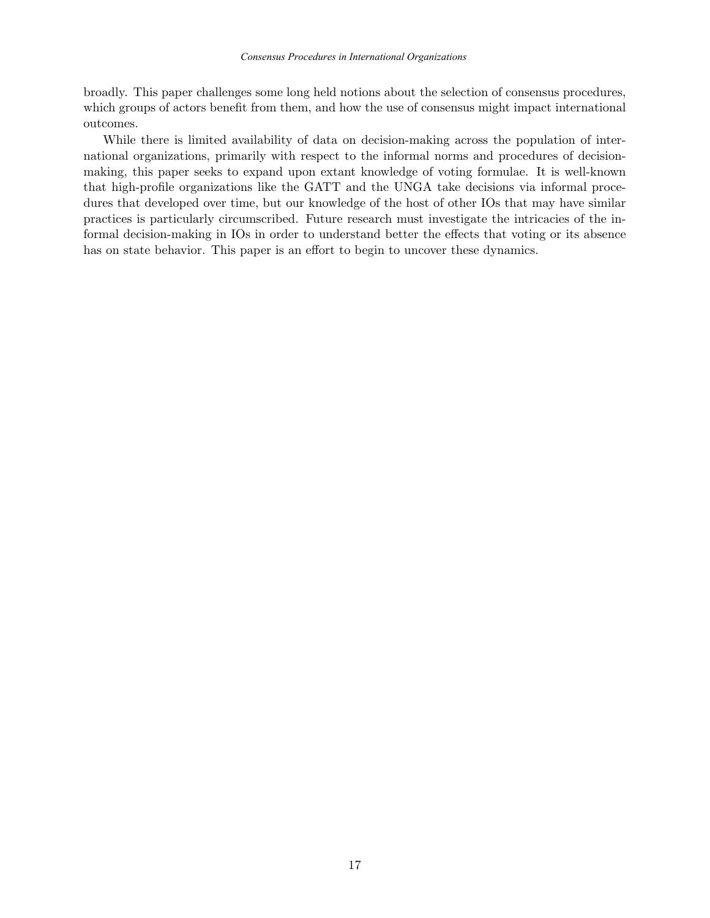broadly. This paper challenges some long held notions about the selection of consensus procedures, which groups of actors benefit from them, and how the use of consensus might impact international outcomes.

While there is limited availability of data on decision-making across the population of international organizations, primarily with respect to the informal norms and procedures of decisionmaking, this paper seeks to expand upon extant knowledge of voting formulae. It is well-known that high-profile organizations like the GATT and the UNGA take decisions via informal procedures that developed over time, but our knowledge of the host of other IOs that may have similar practices is particularly circumscribed. Future research must investigate the intricacies of the informal decision-making in IOs in order to understand better the effects that voting or its absence has on state behavior. This paper is an effort to begin to uncover these dynamics.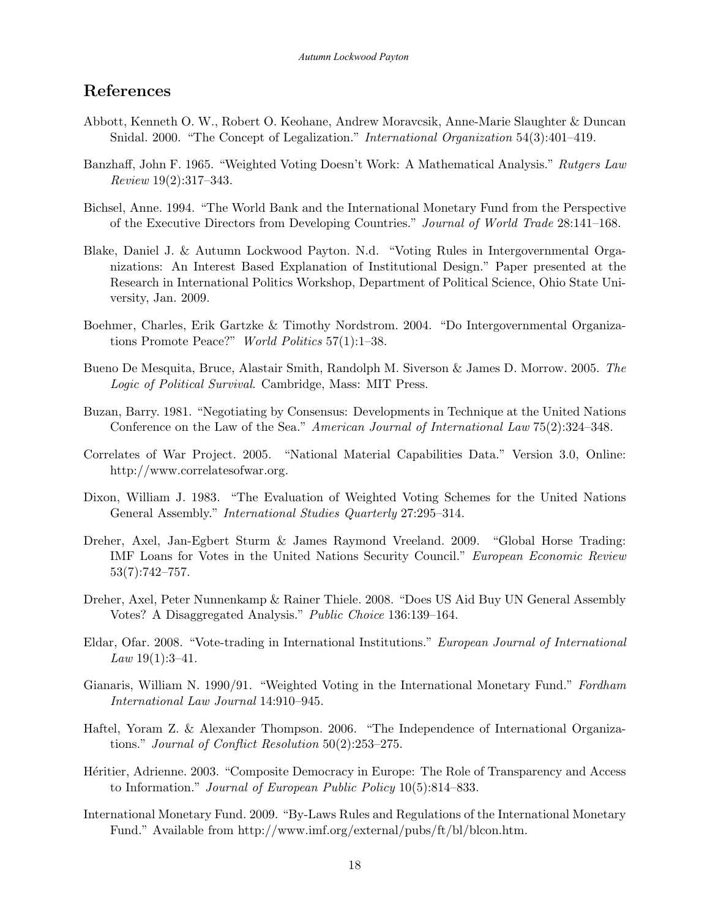# References

- Abbott, Kenneth O. W., Robert O. Keohane, Andrew Moravcsik, Anne-Marie Slaughter & Duncan Snidal. 2000. "The Concept of Legalization." International Organization 54(3):401–419.
- Banzhaff, John F. 1965. "Weighted Voting Doesn't Work: A Mathematical Analysis." Rutgers Law Review 19(2):317–343.
- Bichsel, Anne. 1994. "The World Bank and the International Monetary Fund from the Perspective of the Executive Directors from Developing Countries." Journal of World Trade 28:141–168.
- Blake, Daniel J. & Autumn Lockwood Payton. N.d. "Voting Rules in Intergovernmental Organizations: An Interest Based Explanation of Institutional Design." Paper presented at the Research in International Politics Workshop, Department of Political Science, Ohio State University, Jan. 2009.
- Boehmer, Charles, Erik Gartzke & Timothy Nordstrom. 2004. "Do Intergovernmental Organizations Promote Peace?" World Politics 57(1):1–38.
- Bueno De Mesquita, Bruce, Alastair Smith, Randolph M. Siverson & James D. Morrow. 2005. The Logic of Political Survival. Cambridge, Mass: MIT Press.
- Buzan, Barry. 1981. "Negotiating by Consensus: Developments in Technique at the United Nations Conference on the Law of the Sea." American Journal of International Law 75(2):324–348.
- Correlates of War Project. 2005. "National Material Capabilities Data." Version 3.0, Online: http://www.correlatesofwar.org.
- Dixon, William J. 1983. "The Evaluation of Weighted Voting Schemes for the United Nations General Assembly." International Studies Quarterly 27:295–314.
- Dreher, Axel, Jan-Egbert Sturm & James Raymond Vreeland. 2009. "Global Horse Trading: IMF Loans for Votes in the United Nations Security Council." European Economic Review 53(7):742–757.
- Dreher, Axel, Peter Nunnenkamp & Rainer Thiele. 2008. "Does US Aid Buy UN General Assembly Votes? A Disaggregated Analysis." Public Choice 136:139–164.
- Eldar, Ofar. 2008. "Vote-trading in International Institutions." European Journal of International *Law*  $19(1):3-41$ .
- Gianaris, William N. 1990/91. "Weighted Voting in the International Monetary Fund." Fordham International Law Journal 14:910–945.
- Haftel, Yoram Z. & Alexander Thompson. 2006. "The Independence of International Organizations." Journal of Conflict Resolution 50(2):253–275.
- Héritier, Adrienne. 2003. "Composite Democracy in Europe: The Role of Transparency and Access to Information." Journal of European Public Policy 10(5):814–833.
- International Monetary Fund. 2009. "By-Laws Rules and Regulations of the International Monetary Fund." Available from http://www.imf.org/external/pubs/ft/bl/blcon.htm.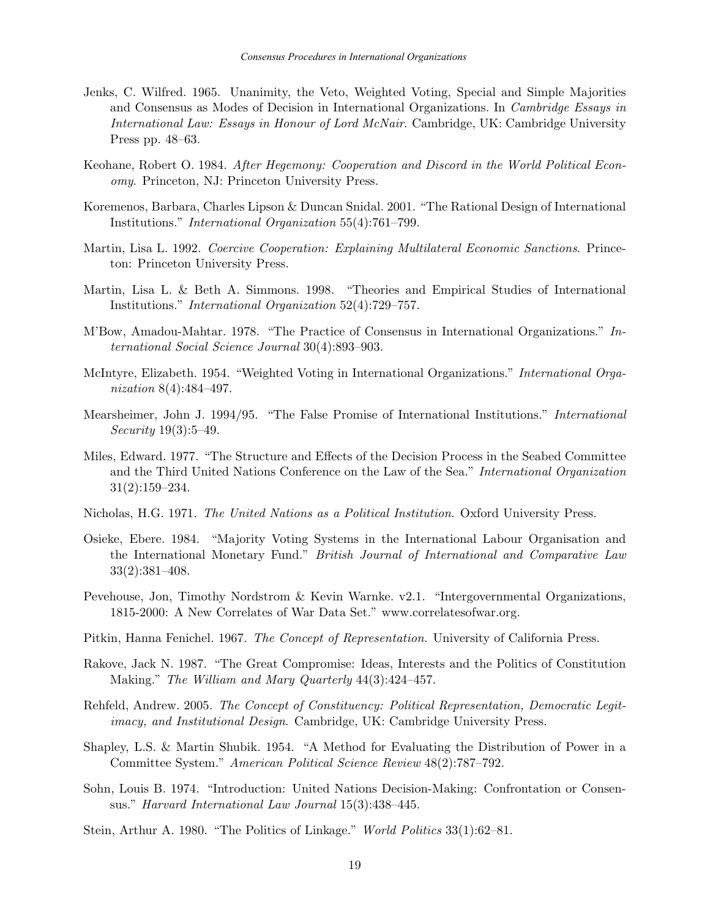- Jenks, C. Wilfred. 1965. Unanimity, the Veto, Weighted Voting, Special and Simple Majorities and Consensus as Modes of Decision in International Organizations. In Cambridge Essays in International Law: Essays in Honour of Lord McNair. Cambridge, UK: Cambridge University Press pp. 48–63.
- Keohane, Robert O. 1984. After Hegemony: Cooperation and Discord in the World Political Economy. Princeton, NJ: Princeton University Press.
- Koremenos, Barbara, Charles Lipson & Duncan Snidal. 2001. "The Rational Design of International Institutions." International Organization 55(4):761–799.
- Martin, Lisa L. 1992. Coercive Cooperation: Explaining Multilateral Economic Sanctions. Princeton: Princeton University Press.
- Martin, Lisa L. & Beth A. Simmons. 1998. "Theories and Empirical Studies of International Institutions." International Organization 52(4):729–757.
- M'Bow, Amadou-Mahtar. 1978. "The Practice of Consensus in International Organizations." International Social Science Journal 30(4):893–903.
- McIntyre, Elizabeth. 1954. "Weighted Voting in International Organizations." International Organization 8(4):484–497.
- Mearsheimer, John J. 1994/95. "The False Promise of International Institutions." International Security 19(3):5–49.
- Miles, Edward. 1977. "The Structure and Effects of the Decision Process in the Seabed Committee and the Third United Nations Conference on the Law of the Sea." International Organization 31(2):159–234.
- Nicholas, H.G. 1971. The United Nations as a Political Institution. Oxford University Press.
- Osieke, Ebere. 1984. "Majority Voting Systems in the International Labour Organisation and the International Monetary Fund." British Journal of International and Comparative Law 33(2):381–408.
- Pevehouse, Jon, Timothy Nordstrom & Kevin Warnke. v2.1. "Intergovernmental Organizations, 1815-2000: A New Correlates of War Data Set." www.correlatesofwar.org.
- Pitkin, Hanna Fenichel. 1967. The Concept of Representation. University of California Press.
- Rakove, Jack N. 1987. "The Great Compromise: Ideas, Interests and the Politics of Constitution Making." The William and Mary Quarterly 44(3):424–457.
- Rehfeld, Andrew. 2005. The Concept of Constituency: Political Representation, Democratic Legitimacy, and Institutional Design. Cambridge, UK: Cambridge University Press.
- Shapley, L.S. & Martin Shubik. 1954. "A Method for Evaluating the Distribution of Power in a Committee System." American Political Science Review 48(2):787–792.
- Sohn, Louis B. 1974. "Introduction: United Nations Decision-Making: Confrontation or Consensus." Harvard International Law Journal 15(3):438–445.
- Stein, Arthur A. 1980. "The Politics of Linkage." World Politics 33(1):62–81.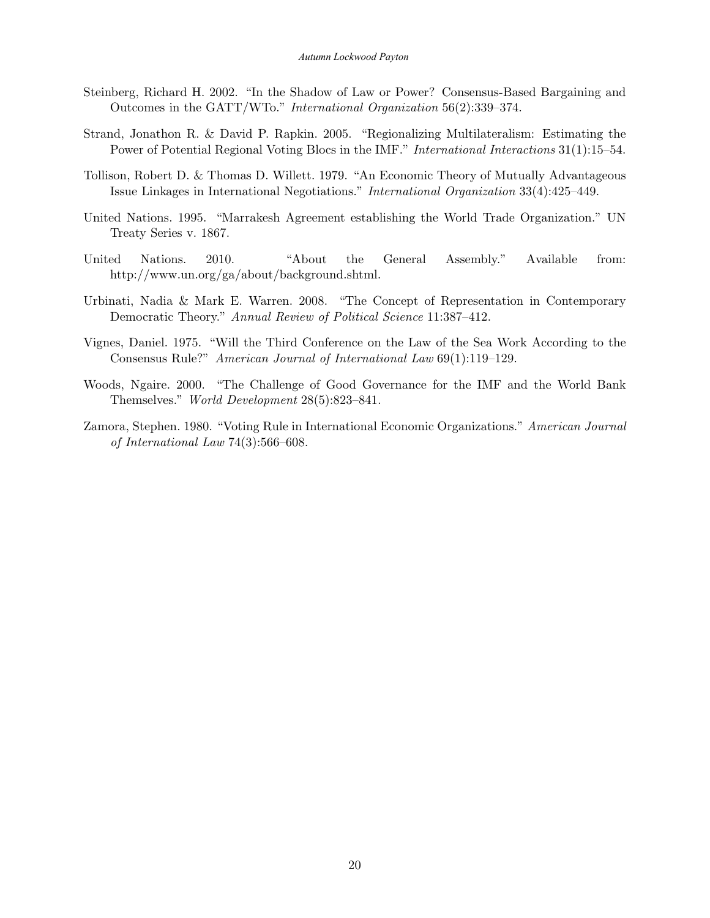- Steinberg, Richard H. 2002. "In the Shadow of Law or Power? Consensus-Based Bargaining and Outcomes in the GATT/WTo." International Organization 56(2):339–374.
- Strand, Jonathon R. & David P. Rapkin. 2005. "Regionalizing Multilateralism: Estimating the Power of Potential Regional Voting Blocs in the IMF." International Interactions 31(1):15–54.
- Tollison, Robert D. & Thomas D. Willett. 1979. "An Economic Theory of Mutually Advantageous Issue Linkages in International Negotiations." International Organization 33(4):425–449.
- United Nations. 1995. "Marrakesh Agreement establishing the World Trade Organization." UN Treaty Series v. 1867.
- United Nations. 2010. "About the General Assembly." Available from: http://www.un.org/ga/about/background.shtml.
- Urbinati, Nadia & Mark E. Warren. 2008. "The Concept of Representation in Contemporary Democratic Theory." Annual Review of Political Science 11:387–412.
- Vignes, Daniel. 1975. "Will the Third Conference on the Law of the Sea Work According to the Consensus Rule?" American Journal of International Law 69(1):119–129.
- Woods, Ngaire. 2000. "The Challenge of Good Governance for the IMF and the World Bank Themselves." World Development 28(5):823–841.
- Zamora, Stephen. 1980. "Voting Rule in International Economic Organizations." American Journal of International Law 74(3):566–608.